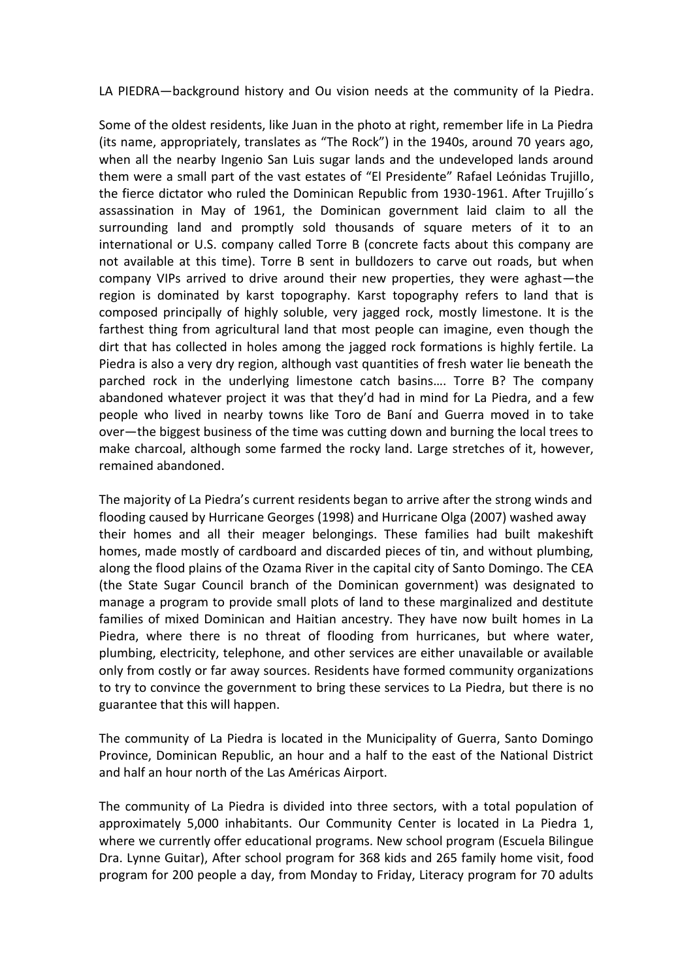LA PIEDRA—background history and Ou vision needs at the community of la Piedra.

Some of the oldest residents, like Juan in the photo at right, remember life in La Piedra (its name, appropriately, translates as "The Rock") in the 1940s, around 70 years ago, when all the nearby Ingenio San Luis sugar lands and the undeveloped lands around them were a small part of the vast estates of "El Presidente" Rafael Leónidas Trujillo, the fierce dictator who ruled the Dominican Republic from 1930-1961. After Trujillo´s assassination in May of 1961, the Dominican government laid claim to all the surrounding land and promptly sold thousands of square meters of it to an international or U.S. company called Torre B (concrete facts about this company are not available at this time). Torre B sent in bulldozers to carve out roads, but when company VIPs arrived to drive around their new properties, they were aghast—the region is dominated by karst topography. Karst topography refers to land that is composed principally of highly soluble, very jagged rock, mostly limestone. It is the farthest thing from agricultural land that most people can imagine, even though the dirt that has collected in holes among the jagged rock formations is highly fertile. La Piedra is also a very dry region, although vast quantities of fresh water lie beneath the parched rock in the underlying limestone catch basins…. Torre B? The company abandoned whatever project it was that they'd had in mind for La Piedra, and a few people who lived in nearby towns like Toro de Baní and Guerra moved in to take over—the biggest business of the time was cutting down and burning the local trees to make charcoal, although some farmed the rocky land. Large stretches of it, however, remained abandoned.

The majority of La Piedra's current residents began to arrive after the strong winds and flooding caused by Hurricane Georges (1998) and Hurricane Olga (2007) washed away their homes and all their meager belongings. These families had built makeshift homes, made mostly of cardboard and discarded pieces of tin, and without plumbing, along the flood plains of the Ozama River in the capital city of Santo Domingo. The CEA (the State Sugar Council branch of the Dominican government) was designated to manage a program to provide small plots of land to these marginalized and destitute families of mixed Dominican and Haitian ancestry. They have now built homes in La Piedra, where there is no threat of flooding from hurricanes, but where water, plumbing, electricity, telephone, and other services are either unavailable or available only from costly or far away sources. Residents have formed community organizations to try to convince the government to bring these services to La Piedra, but there is no guarantee that this will happen.

The community of La Piedra is located in the Municipality of Guerra, Santo Domingo Province, Dominican Republic, an hour and a half to the east of the National District and half an hour north of the Las Américas Airport.

The community of La Piedra is divided into three sectors, with a total population of approximately 5,000 inhabitants. Our Community Center is located in La Piedra 1, where we currently offer educational programs. New school program (Escuela Bilingue Dra. Lynne Guitar), After school program for 368 kids and 265 family home visit, food program for 200 people a day, from Monday to Friday, Literacy program for 70 adults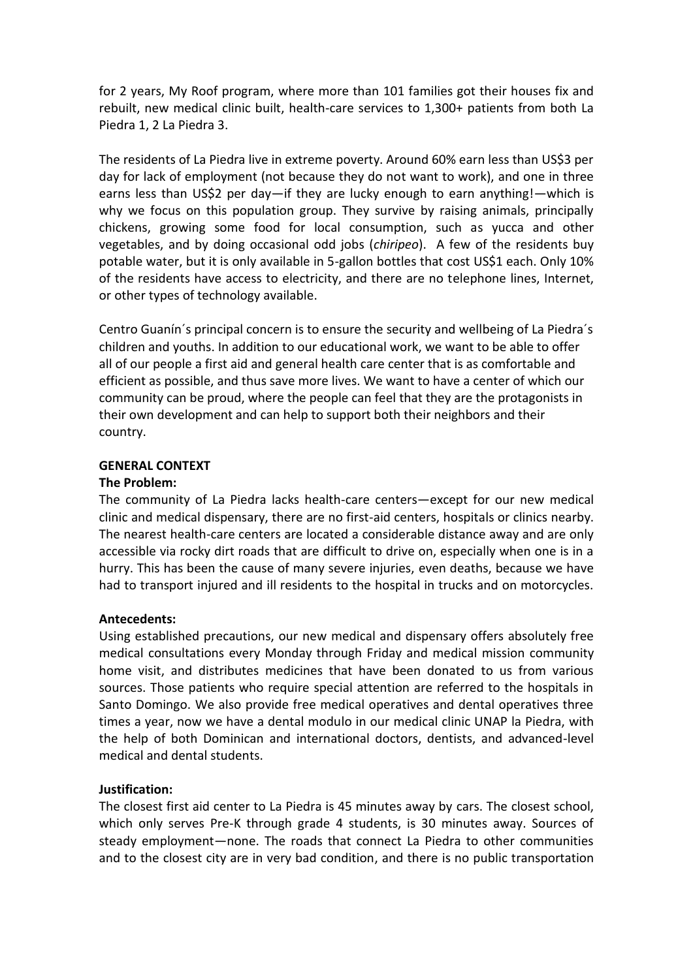for 2 years, My Roof program, where more than 101 families got their houses fix and rebuilt, new medical clinic built, health-care services to 1,300+ patients from both La Piedra 1, 2 La Piedra 3.

The residents of La Piedra live in extreme poverty. Around 60% earn less than US\$3 per day for lack of employment (not because they do not want to work), and one in three earns less than US\$2 per day—if they are lucky enough to earn anything!—which is why we focus on this population group. They survive by raising animals, principally chickens, growing some food for local consumption, such as yucca and other vegetables, and by doing occasional odd jobs (*chiripeo*). A few of the residents buy potable water, but it is only available in 5-gallon bottles that cost US\$1 each. Only 10% of the residents have access to electricity, and there are no telephone lines, Internet, or other types of technology available.

Centro Guanín´s principal concern is to ensure the security and wellbeing of La Piedra´s children and youths. In addition to our educational work, we want to be able to offer all of our people a first aid and general health care center that is as comfortable and efficient as possible, and thus save more lives. We want to have a center of which our community can be proud, where the people can feel that they are the protagonists in their own development and can help to support both their neighbors and their country.

# **GENERAL CONTEXT**

### **The Problem:**

The community of La Piedra lacks health-care centers—except for our new medical clinic and medical dispensary, there are no first-aid centers, hospitals or clinics nearby. The nearest health-care centers are located a considerable distance away and are only accessible via rocky dirt roads that are difficult to drive on, especially when one is in a hurry. This has been the cause of many severe injuries, even deaths, because we have had to transport injured and ill residents to the hospital in trucks and on motorcycles.

# **Antecedents:**

Using established precautions, our new medical and dispensary offers absolutely free medical consultations every Monday through Friday and medical mission community home visit, and distributes medicines that have been donated to us from various sources. Those patients who require special attention are referred to the hospitals in Santo Domingo. We also provide free medical operatives and dental operatives three times a year, now we have a dental modulo in our medical clinic UNAP la Piedra, with the help of both Dominican and international doctors, dentists, and advanced-level medical and dental students.

# **Justification:**

The closest first aid center to La Piedra is 45 minutes away by cars. The closest school, which only serves Pre-K through grade 4 students, is 30 minutes away. Sources of steady employment—none. The roads that connect La Piedra to other communities and to the closest city are in very bad condition, and there is no public transportation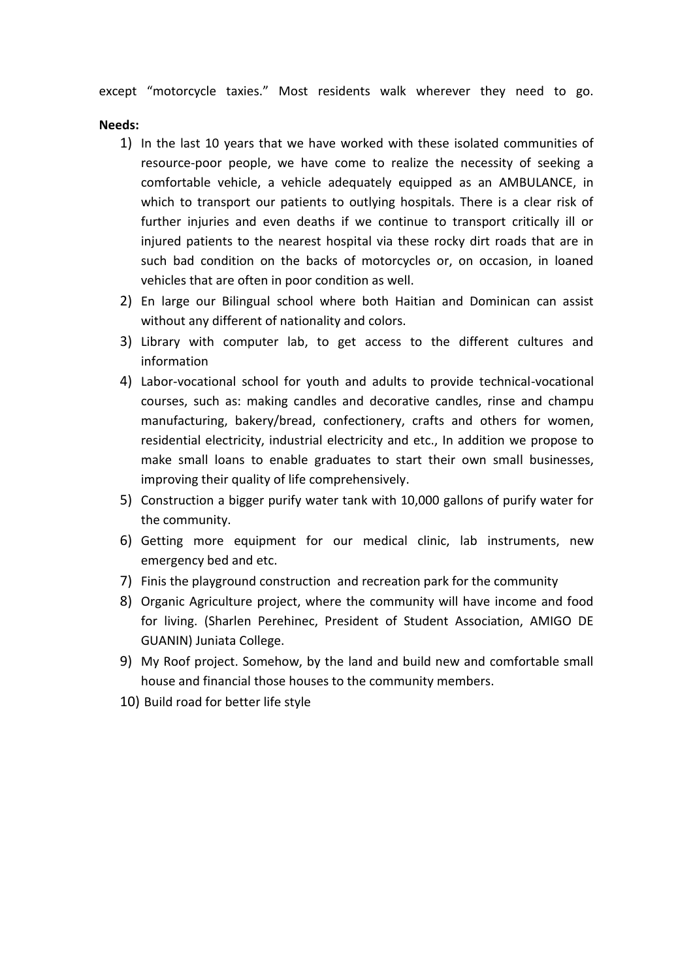except "motorcycle taxies." Most residents walk wherever they need to go.

### **Needs:**

- 1) In the last 10 years that we have worked with these isolated communities of resource-poor people, we have come to realize the necessity of seeking a comfortable vehicle, a vehicle adequately equipped as an AMBULANCE, in which to transport our patients to outlying hospitals. There is a clear risk of further injuries and even deaths if we continue to transport critically ill or injured patients to the nearest hospital via these rocky dirt roads that are in such bad condition on the backs of motorcycles or, on occasion, in loaned vehicles that are often in poor condition as well.
- 2) En large our Bilingual school where both Haitian and Dominican can assist without any different of nationality and colors.
- 3) Library with computer lab, to get access to the different cultures and information
- 4) Labor-vocational school for youth and adults to provide technical-vocational courses, such as: making candles and decorative candles, rinse and champu manufacturing, bakery/bread, confectionery, crafts and others for women, residential electricity, industrial electricity and etc., In addition we propose to make small loans to enable graduates to start their own small businesses, improving their quality of life comprehensively.
- 5) Construction a bigger purify water tank with 10,000 gallons of purify water for the community.
- 6) Getting more equipment for our medical clinic, lab instruments, new emergency bed and etc.
- 7) Finis the playground construction and recreation park for the community
- 8) Organic Agriculture project, where the community will have income and food for living. (Sharlen Perehinec, President of Student Association, AMIGO DE GUANIN) Juniata College.
- 9) My Roof project. Somehow, by the land and build new and comfortable small house and financial those houses to the community members.
- 10) Build road for better life style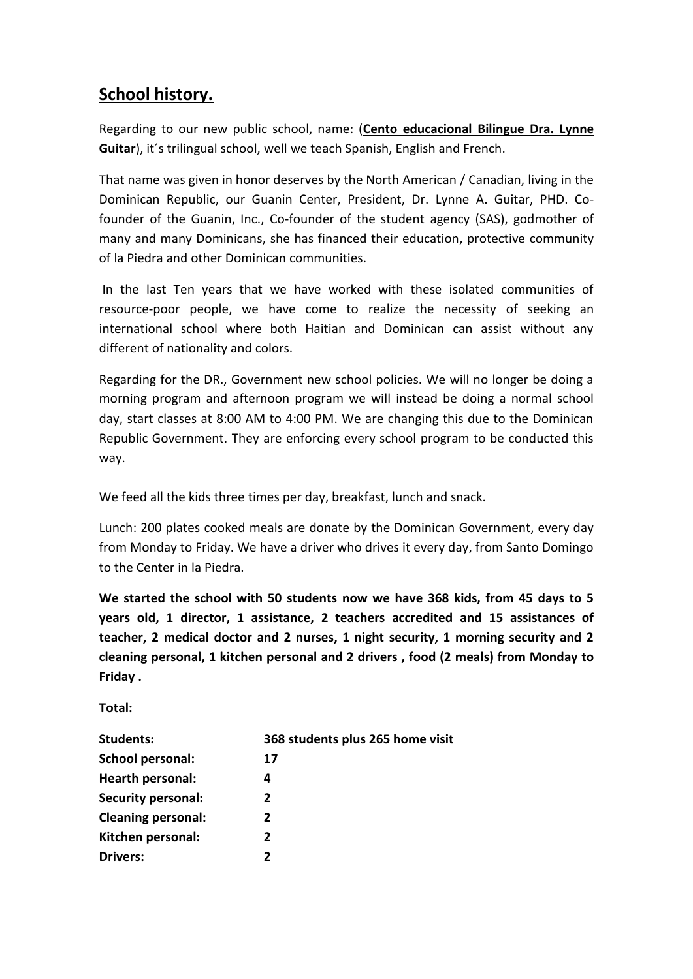# **School history.**

Regarding to our new public school, name: (**Cento educacional Bilingue Dra. Lynne Guitar**), it´s trilingual school, well we teach Spanish, English and French.

That name was given in honor deserves by the North American / Canadian, living in the Dominican Republic, our Guanin Center, President, Dr. Lynne A. Guitar, PHD. Cofounder of the Guanin, Inc., Co-founder of the student agency (SAS), godmother of many and many Dominicans, she has financed their education, protective community of la Piedra and other Dominican communities.

In the last Ten years that we have worked with these isolated communities of resource-poor people, we have come to realize the necessity of seeking an international school where both Haitian and Dominican can assist without any different of nationality and colors.

Regarding for the DR., Government new school policies. We will no longer be doing a morning program and afternoon program we will instead be doing a normal school day, start classes at 8:00 AM to 4:00 PM. We are changing this due to the Dominican Republic Government. They are enforcing every school program to be conducted this way.

We feed all the kids three times per day, breakfast, lunch and snack.

Lunch: 200 plates cooked meals are donate by the Dominican Government, every day from Monday to Friday. We have a driver who drives it every day, from Santo Domingo to the Center in la Piedra.

**We started the school with 50 students now we have 368 kids, from 45 days to 5 years old, 1 director, 1 assistance, 2 teachers accredited and 15 assistances of teacher, 2 medical doctor and 2 nurses, 1 night security, 1 morning security and 2 cleaning personal, 1 kitchen personal and 2 drivers , food (2 meals) from Monday to Friday .**

**Total:**

| 368 students plus 265 home visit |
|----------------------------------|
| 17                               |
| 4                                |
| 2                                |
| 2                                |
| 2                                |
| 2                                |
|                                  |